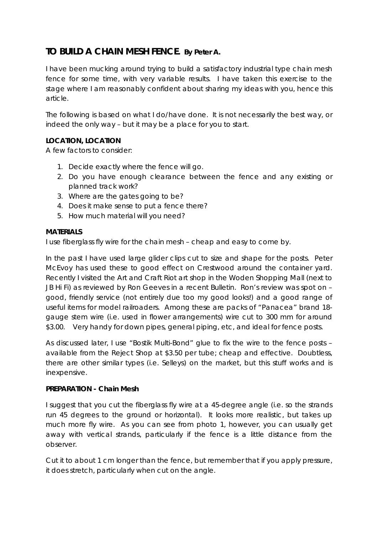# **TO BUILD A CHAIN MESH FENCE.** *By Peter A.*

I have been mucking around trying to build a satisfactory industrial type chain mesh fence for some time, with very variable results. I have taken this exercise to the stage where I am reasonably confident about sharing my ideas with you, hence this article.

The following is based on what I do/have done. It is not necessarily the best way, or indeed the only way – but it may be a place for you to start.

# **LOCATION, LOCATION**

A few factors to consider:

- 1. Decide exactly where the fence will go.
- 2. Do you have enough clearance between the fence and any existing or planned track work?
- 3. Where are the gates going to be?
- 4. Does it make sense to put a fence there?
- 5. How much material will you need?

#### **MATERIALS**

I use fiberglass fly wire for the chain mesh – cheap and easy to come by.

In the past I have used large glider clips cut to size and shape for the posts. Peter McEvoy has used these to good effect on Crestwood around the container yard. Recently I visited the Art and Craft Riot art shop in the Woden Shopping Mall (next to JB Hi Fi) as reviewed by Ron Geeves in a recent Bulletin. Ron's review was spot on – good, friendly service (not entirely due too my good looks!) and a good range of useful items for model railroaders. Among these are packs of "Panacea" brand 18 gauge stem wire (i.e. used in flower arrangements) wire cut to 300 mm for around \$3.00. Very handy for down pipes, general piping, etc, and ideal for fence posts.

As discussed later, I use "Bostik Multi-Bond" glue to fix the wire to the fence posts – available from the Reject Shop at \$3.50 per tube; cheap and effective. Doubtless, there are other similar types (i.e. Selleys) on the market, but this stuff works and is inexpensive.

#### **PREPARATION - Chain Mesh**

I suggest that you cut the fiberglass fly wire at a 45-degree angle (i.e. so the strands run 45 degrees to the ground or horizontal). It looks more realistic, but takes up much more fly wire. As you can see from photo 1, however, you can usually get away with vertical strands, particularly if the fence is a little distance from the observer.

Cut it to about 1 cm longer than the fence, but remember that if you apply pressure, it does stretch, particularly when cut on the angle.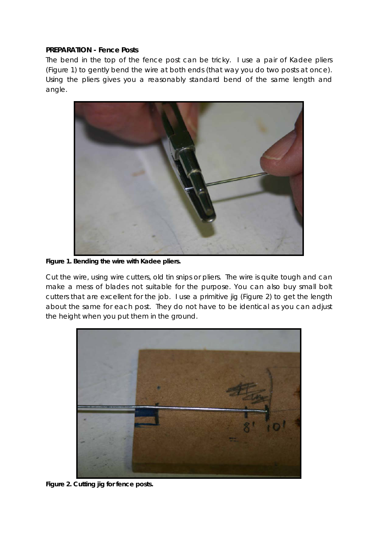#### **PREPARATION - Fence Posts**

The bend in the top of the fence post can be tricky. I use a pair of Kadee pliers (Figure 1) to gently bend the wire at both ends (that way you do two posts at once). Using the pliers gives you a reasonably standard bend of the same length and angle.



**Figure 1. Bending the wire with Kadee pliers.** 

Cut the wire, using wire cutters, old tin snips or pliers. The wire is quite tough and can make a mess of blades not suitable for the purpose. You can also buy small bolt cutters that are excellent for the job. I use a primitive jig (Figure 2) to get the length about the same for each post. They do not have to be identical as you can adjust the height when you put them in the ground.



**Figure 2. Cutting jig for fence posts.**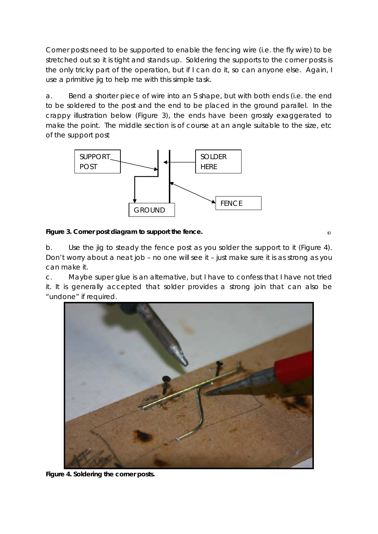Corner posts need to be supported to enable the fencing wire (i.e. the fly wire) to be stretched out so it is tight and stands up. Soldering the supports to the corner posts is the only tricky part of the operation, but if I can do it, so can anyone else. Again, I use a primitive jig to help me with this simple task.

a. Bend a shorter piece of wire into an S shape, but with both ends (i.e. the end to be soldered to the post and the end to be placed in the ground parallel. In the crappy illustration below (Figure 3), the ends have been grossly exaggerated to make the point. The middle section is of course at an angle suitable to the size, etc of the support post



## **Figure 3. Corner post diagram to support the fence.**

b. Use the jig to steady the fence post as you solder the support to it (Figure 4). Don't worry about a neat job – no one will see it – just make sure it is as strong as you can make it.

 $\Box$ 

c. Maybe super glue is an alternative, but I have to confess that I have not tried it. It is generally accepted that solder provides a strong join that can also be "undone" if required.



**Figure 4. Soldering the corner posts.**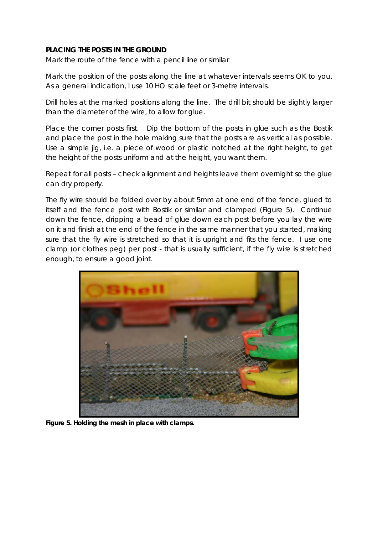## **PLACING THE POSTS IN THE GROUND**

Mark the route of the fence with a pencil line or similar

Mark the position of the posts along the line at whatever intervals seems OK to you. As a general indication, I use 10 HO scale feet or 3-metre intervals.

Drill holes at the marked positions along the line. The drill bit should be slightly larger than the diameter of the wire, to allow for glue.

Place the corner posts first. Dip the bottom of the posts in glue such as the Bostik and place the post in the hole making sure that the posts are as vertical as possible. Use a simple jig, i.e. a piece of wood or plastic notched at the right height, to get the height of the posts uniform and at the height, you want them.

Repeat for all posts – check alignment and heights leave them overnight so the glue can dry properly.

The fly wire should be folded over by about 5mm at one end of the fence, glued to itself and the fence post with Bostik or similar and clamped (Figure 5). Continue down the fence, dripping a bead of glue down each post before you lay the wire on it and finish at the end of the fence in the same manner that you started, making sure that the fly wire is stretched so that it is upright and fits the fence. I use one clamp (or clothes peg) per post - that is usually sufficient, if the fly wire is stretched enough, to ensure a good joint.



**Figure 5. Holding the mesh in place with clamps.**